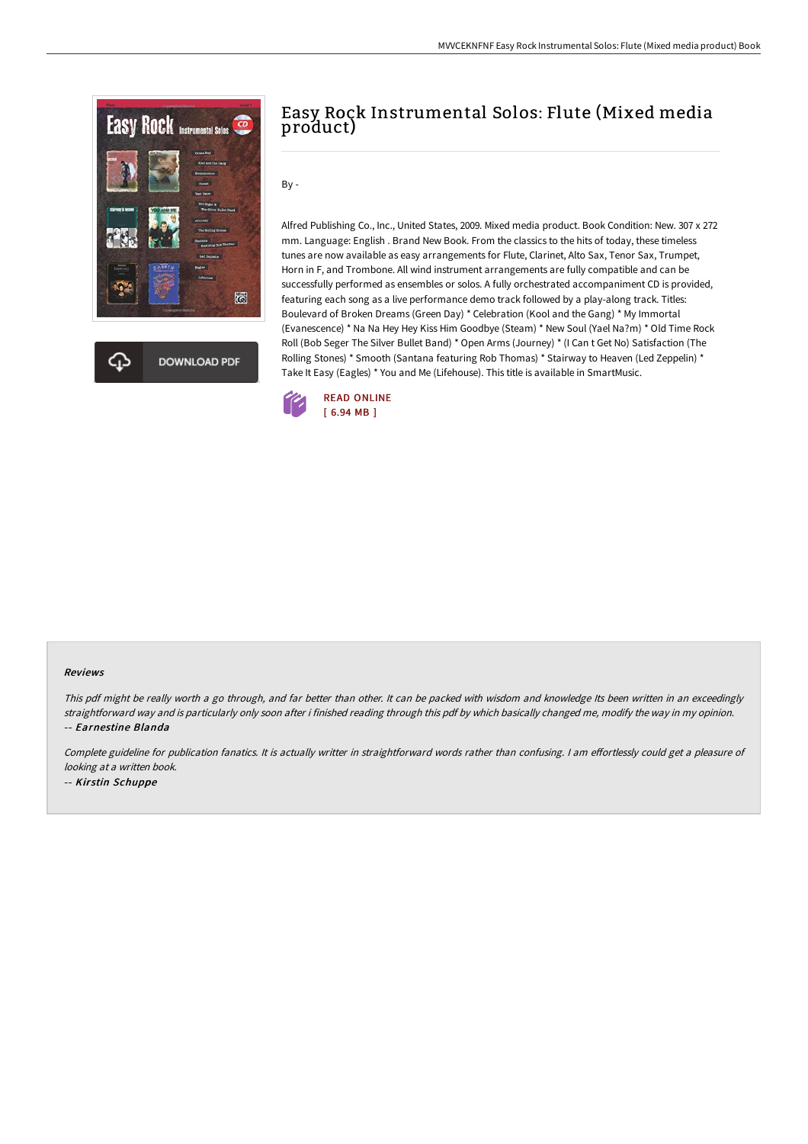

**DOWNLOAD PDF** 

# Easy Rock Instrumental Solos: Flute (Mixed media product)

By -

Alfred Publishing Co., Inc., United States, 2009. Mixed media product. Book Condition: New. 307 x 272 mm. Language: English . Brand New Book. From the classics to the hits of today, these timeless tunes are now available as easy arrangements for Flute, Clarinet, Alto Sax, Tenor Sax, Trumpet, Horn in F, and Trombone. All wind instrument arrangements are fully compatible and can be successfully performed as ensembles or solos. A fully orchestrated accompaniment CD is provided, featuring each song as a live performance demo track followed by a play-along track. Titles: Boulevard of Broken Dreams (Green Day) \* Celebration (Kool and the Gang) \* My Immortal (Evanescence) \* Na Na Hey Hey Kiss Him Goodbye (Steam) \* New Soul (Yael Na?m) \* Old Time Rock Roll (Bob Seger The Silver Bullet Band) \* Open Arms (Journey) \* (I Can t Get No) Satisfaction (The Rolling Stones) \* Smooth (Santana featuring Rob Thomas) \* Stairway to Heaven (Led Zeppelin) \* Take It Easy (Eagles) \* You and Me (Lifehouse). This title is available in SmartMusic.



#### Reviews

This pdf might be really worth <sup>a</sup> go through, and far better than other. It can be packed with wisdom and knowledge Its been written in an exceedingly straightforward way and is particularly only soon after i finished reading through this pdf by which basically changed me, modify the way in my opinion. -- Earnestine Blanda

Complete guideline for publication fanatics. It is actually writter in straightforward words rather than confusing. I am effortlessly could get a pleasure of looking at <sup>a</sup> written book. -- Kirstin Schuppe